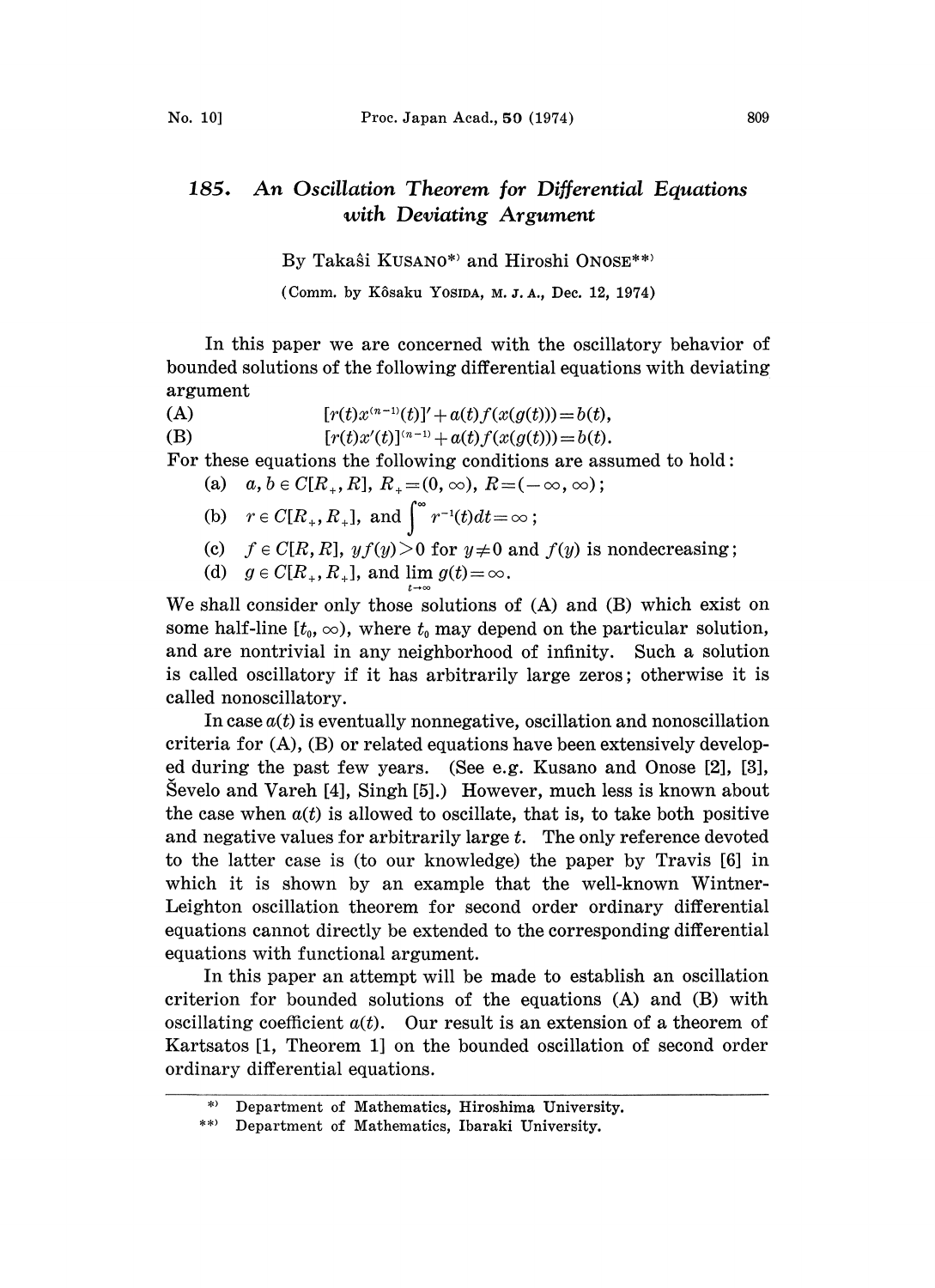## 185. An Oscillation Theorem for Differential Equations with Deviating Argument

By Takaŝi KUSANO\*) and Hiroshi ONOSE\*\*)

(Comm. by Kôsaku YosiDA, M. J. A., Dec. 12, 1974)

In this paper we are concerned with the oscillatory behavior of bounded solutions of the following differential equations with deviating argument

(A)  $[r(t)x^{(n-1)}(t)]' + a(t)f(x(g(t))) = b(t),$ <br>  $[r(t)x'(t)]^{(n-1)} + a(t)f(x(g(t))) = b(t),$  $[r(t)x'(t)]^{(n-1)} + a(t)f(x(g(t))) = b(t).$ 

For these equations the following conditions are assumed to hold:

(a) 
$$
a, b \in C[R_+, R], R_+ = (0, \infty), R = (-\infty, \infty);
$$

(b) 
$$
r \in C[R_+, R_+]
$$
, and  $\int^{\infty} r^{-1}(t) dt = \infty$ ;

- (c)  $f \in C[R, R]$ ,  $y f(y) > 0$  for  $y \neq 0$  and  $f(y)$  is nondecreasing;
- (d)  $g \in C[R_+, R_+]$ , and lim  $g(t) = \infty$ .

We shall consider only those solutions of (A) and (B) whieh exist on some half-line  $[t_0, \infty)$ , where  $t_0$  may depend on the particular solution, and are nontrivial in any neighborhood of infinity. Sueh a solution is called oscillatory if it has arbitrarily large zeros; otherwise it is called nonoseillatory.

In case  $a(t)$  is eventually nonnegative, oscillation and nonoscillation criteria for (A), (B) or related equations have been extensively developed during the past few years. (See e.g. Kusano and Onose [2], [3], Sevelo and Vareh [4], Singh [5].) However, much less is known about the case when  $a(t)$  is allowed to oscillate, that is, to take both positive and negative values for arbitrarily large  $t$ . The only reference devoted to the latter ease is (to our knowledge) the paper by Travis [6] in which it is shown by an example that the well-known Wintner-Leighton oscillation theorem for second order ordinary differential equations cannot directly be extended to the corresponding differential equations with functional argument.

In this paper an attempt will be made to establish an oscillation criterion for bounded solutions of the equations (A) and (B) with oscillating coefficient  $a(t)$ . Our result is an extension of a theorem of Kartsatos [1, Theorem 1] on the bounded oscillation of second order ordinary differential equations.

Department of Mathematics, Hiroshima University.

<sup>\*\*</sup> Department of Mathematics, Ibaraki University.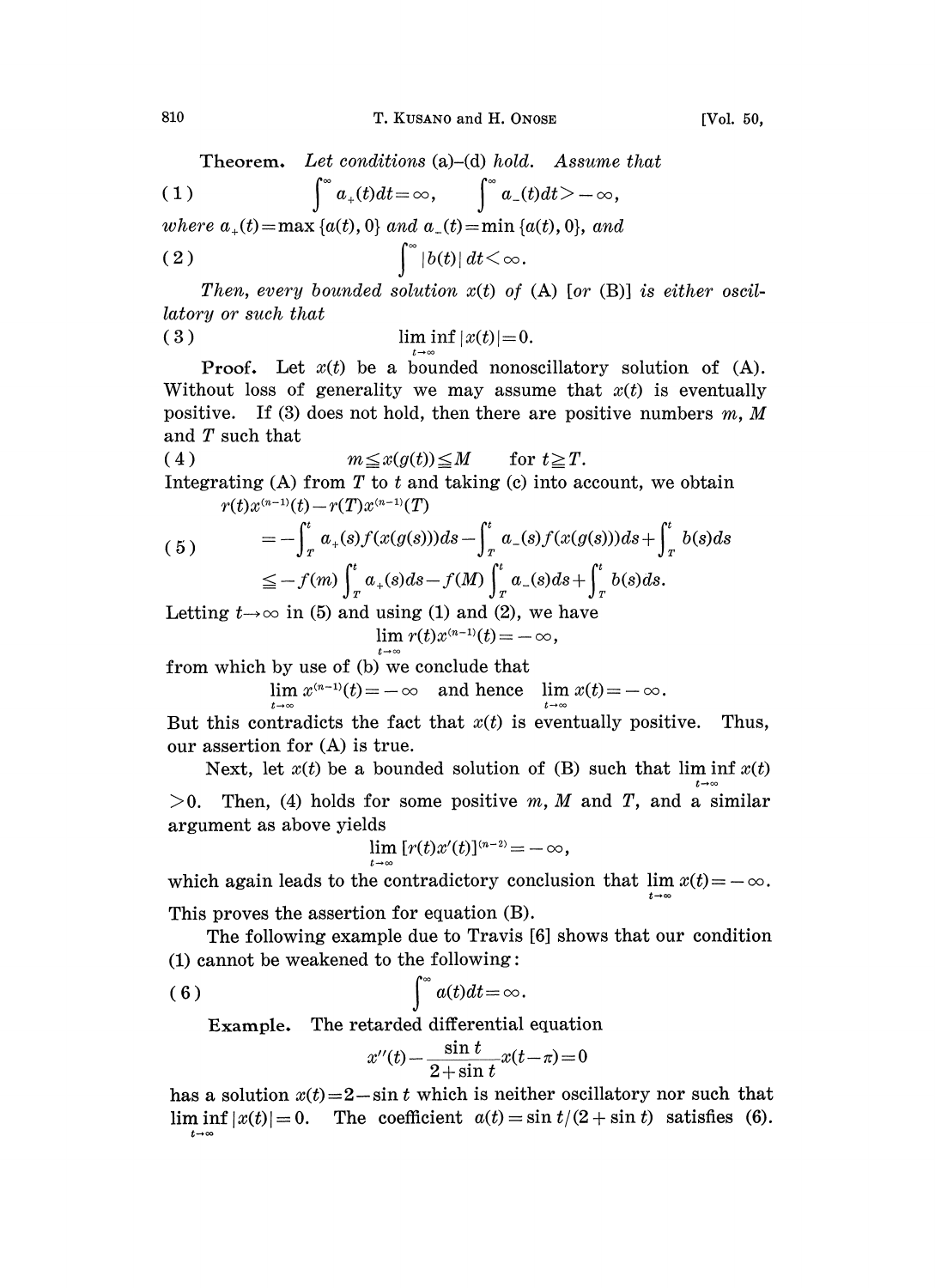Theorem. Let conditions (a)–(d) hold. Assume that (1)  $\int_0^\infty a_+(t)dt=\infty, \qquad \int_0^\infty a_-(t)dt>-\infty,$ where  $a_+(t) = \max \{a(t), 0\}$  and  $a_-(t) = \min \{a(t), 0\}$ , (2)  $|b(t)| dt < \infty$ .

Then, every bounded solution  $x(t)$  of (A) [or (B)] is either oscillatory or such that ( 3 ) lim inf  $|x(t)| = 0$ .

 $\mid=0.$ conos<br>assur<br>ere a Proof. Let  $x(t)$  be a bounded nonoscillatory solution of (A). Without loss of generality we may assume that  $x(t)$  is eventually positive. If (3) does not hold, then there are positive numbers  $m, M$ and T such that

(4) 
$$
m \leq x(g(t)) \leq M \quad \text{for } t \geq T.
$$
Integrating (A) from T to t and taking (c) into account, we obtain 
$$
r(t)x^{(n-1)}(t) - r(T)x^{(n-1)}(T)
$$

(5) 
$$
= -\int_{T}^{t} a_{+}(s) f(x(g(s))) ds - \int_{T}^{t} a_{-}(s) f(x(g(s))) ds + \int_{T}^{t} b(s) ds
$$

$$
\leq -f(m) \int_{T}^{t} a_{+}(s) ds - f(M) \int_{T}^{t} a_{-}(s) ds + \int_{T}^{t} b(s) ds.
$$

Letting  $t\rightarrow\infty$  in (5) and using (1) and (2), we have  $\lim r(t)x^{(n-1)}(t) = -\infty,$ 

from which by use of (b) we conclude tha

 $\lim_{t \to \infty} x^{(n-1)}(t) = -\infty$  and hence  $\lim_{t \to \infty} x(t) = -\infty$ .

But this contradicts the fact that  $x(t)$  is eventually positive. Thus, our assertion for (A) is true.

Next, let  $x(t)$  be a bounded solution of (B) such that lim inf  $x(t)$  $>0$ . Then, (4) holds for some positive m, M and T, and a similar argument as above yields

$$
\lim [r(t)x'(t)]^{(n-2)} = -\infty,
$$

argument as above yields<br>  $\lim_{t \to \infty} [r(t)x'(t)]^{(n-2)} = -\infty,$ <br>
which again leads to the contradictory conclusion that  $\lim x(t) = -\infty$ 

This proves the assertion for equation  $(B)$ .

The following example due to Travis [6] shows that our condition  $(1)$  cannot be weakened to the following:

$$
(6) \qquad \int^{\infty} a(t)dt = \infty.
$$

Example. The retarded differential equation

$$
x''(t) - \frac{\sin t}{2 + \sin t}x(t - \pi) = 0
$$

has a solution  $x(t)=2-\sin t$  which is neither oscillatory nor such that  $\liminf_{t\to\infty} |x(t)|=0$ . The coefficient  $a(t)=\sin t/(2+\sin t)$  satisfies (6).